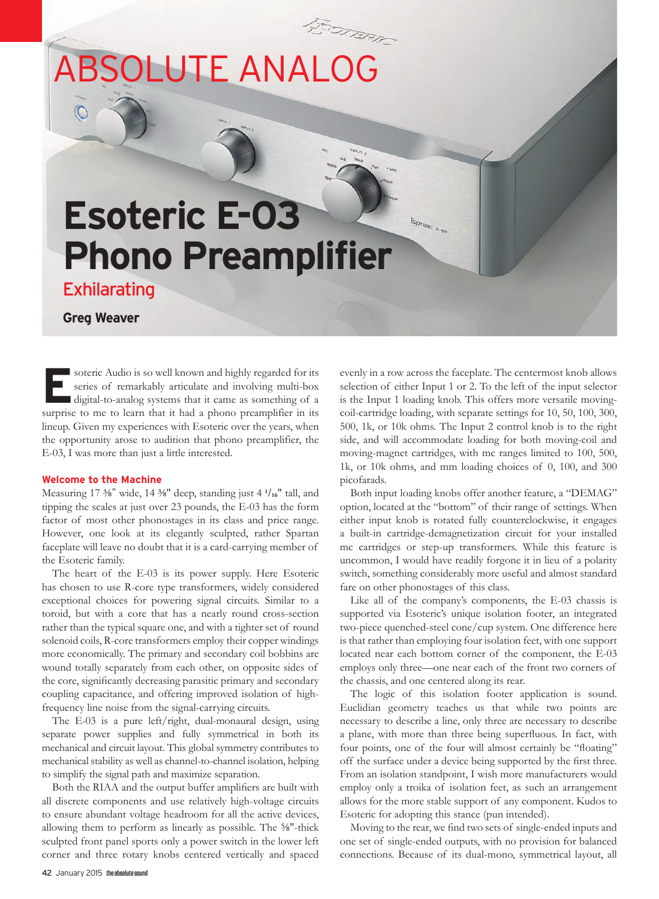

**ERSO ERSONALDE SOLUTE SOLUTE SOLUTE SERVICE SERVICE SERVICE SERVICE SERVICE SERVICE SERVICE SERVICE SERVICE SERVICE SERVICE SERVICE SERVICE SERVICE SERVICE SERVICE SERVICE SERVICE SERVICE SERVICE SERVICE SERVICE SERVICE S** series of remarkably articulate and involving multi-box surprise to me to learn that it had a phono preamplifier in its lineup. Given my experiences with Esoteric over the years, when the opportunity arose to audition that phono preamplifier, the E-03, I was more than just a little interested.

### **Welcome to the Machine**

Measuring 17 ⅜" wide, 14 ⅜" deep, standing just 4 **<sup>1</sup>** /**16**" tall, and tipping the scales at just over 23 pounds, the E-03 has the form factor of most other phonostages in its class and price range. However, one look at its elegantly sculpted, rather Spartan faceplate will leave no doubt that it is a card-carrying member of the Esoteric family.

The heart of the E-03 is its power supply. Here Esoteric has chosen to use R-core type transformers, widely considered exceptional choices for powering signal circuits. Similar to a toroid, but with a core that has a nearly round cross-section rather than the typical square one, and with a tighter set of round solenoid coils, R-core transformers employ their copper windings more economically. The primary and secondary coil bobbins are wound totally separately from each other, on opposite sides of the core, significantly decreasing parasitic primary and secondary coupling capacitance, and offering improved isolation of highfrequency line noise from the signal-carrying circuits.

The E-03 is a pure left/right, dual-monaural design, using separate power supplies and fully symmetrical in both its mechanical and circuit layout. This global symmetry contributes to mechanical stability as well as channel-to-channel isolation, helping to simplify the signal path and maximize separation.

Both the RIAA and the output buffer amplifiers are built with all discrete components and use relatively high-voltage circuits to ensure abundant voltage headroom for all the active devices, allowing them to perform as linearly as possible. The ⅝"-thick sculpted front panel sports only a power switch in the lower left corner and three rotary knobs centered vertically and spaced evenly in a row across the faceplate. The centermost knob allows selection of either Input 1 or 2. To the left of the input selector is the Input 1 loading knob. This offers more versatile movingcoil-cartridge loading, with separate settings for 10, 50, 100, 300, 500, 1k, or 10k ohms. The Input 2 control knob is to the right side, and will accommodate loading for both moving-coil and moving-magnet cartridges, with mc ranges limited to 100, 500, 1k, or 10k ohms, and mm loading choices of 0, 100, and 300 picofarads.

Both input loading knobs offer another feature, a "DEMAG" option, located at the "bottom" of their range of settings. When either input knob is rotated fully counterclockwise, it engages a built-in cartridge-demagnetization circuit for your installed mc cartridges or step-up transformers. While this feature is uncommon, I would have readily forgone it in lieu of a polarity switch, something considerably more useful and almost standard fare on other phonostages of this class.

Like all of the company's components, the E-03 chassis is supported via Esoteric's unique isolation footer, an integrated two-piece quenched-steel cone/cup system. One difference here is that rather than employing four isolation feet, with one support located near each bottom corner of the component, the E-03 employs only three—one near each of the front two corners of the chassis, and one centered along its rear.

The logic of this isolation footer application is sound. Euclidian geometry teaches us that while two points are necessary to describe a line, only three are necessary to describe a plane, with more than three being superfluous. In fact, with four points, one of the four will almost certainly be "floating" off the surface under a device being supported by the first three. From an isolation standpoint, I wish more manufacturers would employ only a troika of isolation feet, as such an arrangement allows for the more stable support of any component. Kudos to Esoteric for adopting this stance (pun intended).

Moving to the rear, we find two sets of single-ended inputs and one set of single-ended outputs, with no provision for balanced connections. Because of its dual-mono, symmetrical layout, all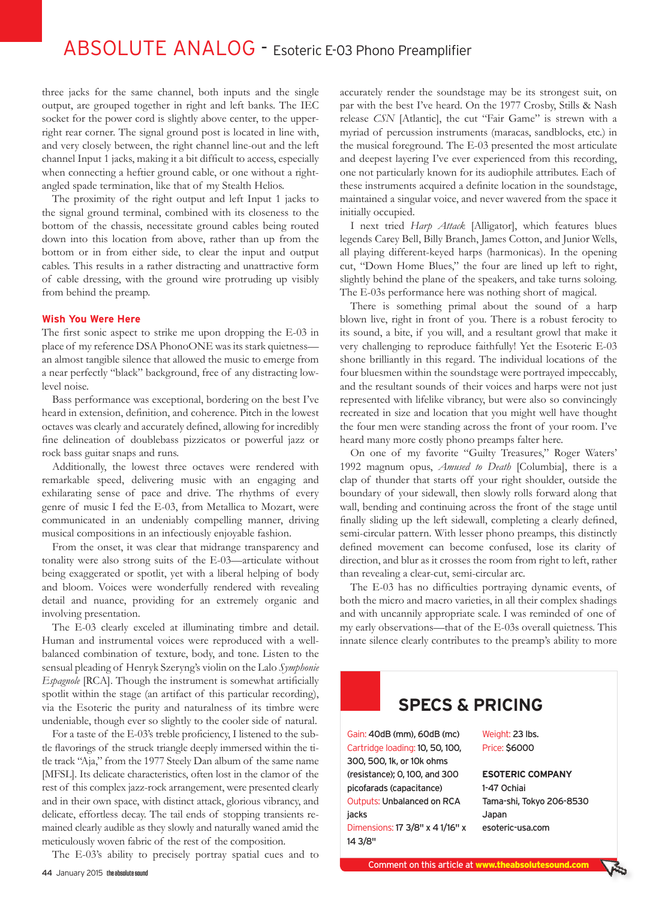# ABSOLUTE ANALOG - Esoteric E-03 Phono Preamplifier

three jacks for the same channel, both inputs and the single output, are grouped together in right and left banks. The IEC socket for the power cord is slightly above center, to the upperright rear corner. The signal ground post is located in line with, and very closely between, the right channel line-out and the left channel Input 1 jacks, making it a bit difficult to access, especially when connecting a heftier ground cable, or one without a rightangled spade termination, like that of my Stealth Helios.

The proximity of the right output and left Input 1 jacks to the signal ground terminal, combined with its closeness to the bottom of the chassis, necessitate ground cables being routed down into this location from above, rather than up from the bottom or in from either side, to clear the input and output cables. This results in a rather distracting and unattractive form of cable dressing, with the ground wire protruding up visibly from behind the preamp.

#### **Wish You Were Here**

The first sonic aspect to strike me upon dropping the E-03 in place of my reference DSA PhonoONE was its stark quietness an almost tangible silence that allowed the music to emerge from a near perfectly "black" background, free of any distracting lowlevel noise.

Bass performance was exceptional, bordering on the best I've heard in extension, definition, and coherence. Pitch in the lowest octaves was clearly and accurately defined, allowing for incredibly fine delineation of doublebass pizzicatos or powerful jazz or rock bass guitar snaps and runs.

Additionally, the lowest three octaves were rendered with remarkable speed, delivering music with an engaging and exhilarating sense of pace and drive. The rhythms of every genre of music I fed the E-03, from Metallica to Mozart, were communicated in an undeniably compelling manner, driving musical compositions in an infectiously enjoyable fashion.

From the onset, it was clear that midrange transparency and tonality were also strong suits of the E-03—articulate without being exaggerated or spotlit, yet with a liberal helping of body and bloom. Voices were wonderfully rendered with revealing detail and nuance, providing for an extremely organic and involving presentation.

The E-03 clearly exceled at illuminating timbre and detail. Human and instrumental voices were reproduced with a wellbalanced combination of texture, body, and tone. Listen to the sensual pleading of Henryk Szeryng's violin on the Lalo *Symphonie Espagnole* [RCA]. Though the instrument is somewhat artificially spotlit within the stage (an artifact of this particular recording), via the Esoteric the purity and naturalness of its timbre were undeniable, though ever so slightly to the cooler side of natural.

For a taste of the E-03's treble proficiency, I listened to the subtle flavorings of the struck triangle deeply immersed within the title track "Aja," from the 1977 Steely Dan album of the same name [MFSL]. Its delicate characteristics, often lost in the clamor of the rest of this complex jazz-rock arrangement, were presented clearly and in their own space, with distinct attack, glorious vibrancy, and delicate, effortless decay. The tail ends of stopping transients remained clearly audible as they slowly and naturally waned amid the meticulously woven fabric of the rest of the composition.

The E-03's ability to precisely portray spatial cues and to

accurately render the soundstage may be its strongest suit, on par with the best I've heard. On the 1977 Crosby, Stills & Nash release *CSN* [Atlantic], the cut "Fair Game" is strewn with a myriad of percussion instruments (maracas, sandblocks, etc.) in the musical foreground. The E-03 presented the most articulate and deepest layering I've ever experienced from this recording, one not particularly known for its audiophile attributes. Each of these instruments acquired a definite location in the soundstage, maintained a singular voice, and never wavered from the space it initially occupied.

I next tried *Harp Attack* [Alligator], which features blues legends Carey Bell, Billy Branch, James Cotton, and Junior Wells, all playing different-keyed harps (harmonicas). In the opening cut, "Down Home Blues," the four are lined up left to right, slightly behind the plane of the speakers, and take turns soloing. The E-03s performance here was nothing short of magical.

There is something primal about the sound of a harp blown live, right in front of you. There is a robust ferocity to its sound, a bite, if you will, and a resultant growl that make it very challenging to reproduce faithfully! Yet the Esoteric E-03 shone brilliantly in this regard. The individual locations of the four bluesmen within the soundstage were portrayed impeccably, and the resultant sounds of their voices and harps were not just represented with lifelike vibrancy, but were also so convincingly recreated in size and location that you might well have thought the four men were standing across the front of your room. I've heard many more costly phono preamps falter here.

On one of my favorite "Guilty Treasures," Roger Waters' 1992 magnum opus, *Amused to Death* [Columbia], there is a clap of thunder that starts off your right shoulder, outside the boundary of your sidewall, then slowly rolls forward along that wall, bending and continuing across the front of the stage until finally sliding up the left sidewall, completing a clearly defined, semi-circular pattern. With lesser phono preamps, this distinctly defined movement can become confused, lose its clarity of direction, and blur as it crosses the room from right to left, rather than revealing a clear-cut, semi-circular arc.

The E-03 has no difficulties portraying dynamic events, of both the micro and macro varieties, in all their complex shadings and with uncannily appropriate scale. I was reminded of one of my early observations—that of the E-03s overall quietness. This innate silence clearly contributes to the preamp's ability to more

## **SPECS & PRICING**

Gain: 40dB (mm), 60dB (mc) Cartridge loading: 10, 50, 100, 300, 500, 1k, or 10k ohms (resistance); 0, 100, and 300 picofarads (capacitance) Outputs: Unbalanced on RCA jacks Dimensions: 17 3/8" x 4 1/16" x

14 3/8"

Weight: 23 lbs. Price: \$6000

**ESOTERIC COMPANY** 1-47 Ochiai Tama-shi, Tokyo 206-8530 Japan esoteric-usa.com